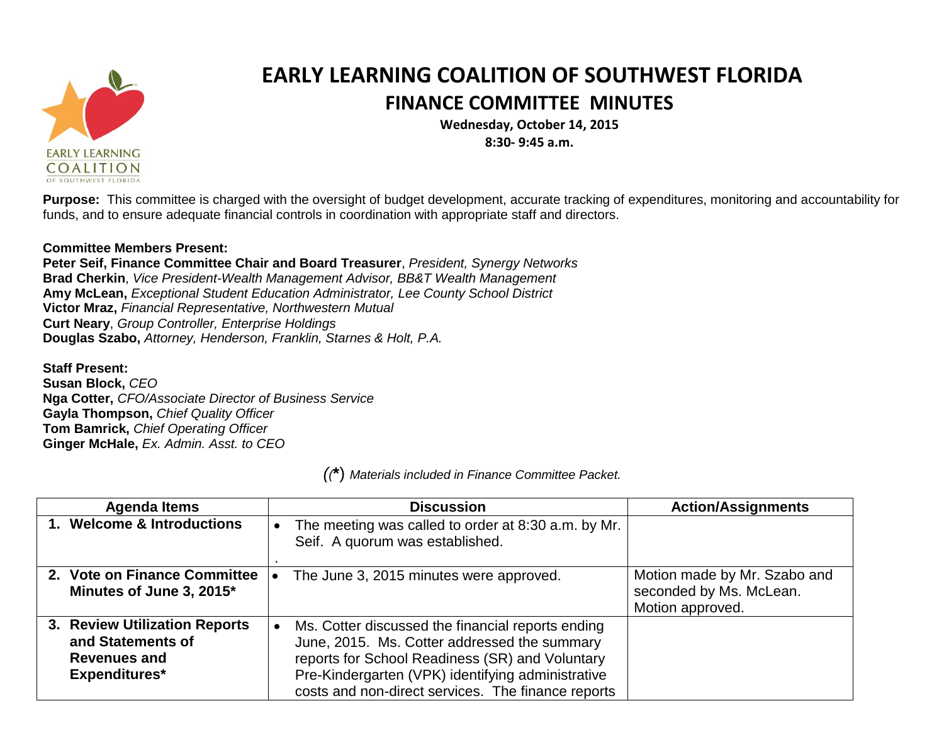

## **EARLY LEARNING COALITION OF SOUTHWEST FLORIDA FINANCE COMMITTEE MINUTES**

**Wednesday, October 14, 2015 8:30- 9:45 a.m.**

**Purpose:** This committee is charged with the oversight of budget development, accurate tracking of expenditures, monitoring and accountability for funds, and to ensure adequate financial controls in coordination with appropriate staff and directors.

## **Committee Members Present:**

**Peter Seif, Finance Committee Chair and Board Treasurer**, *President, Synergy Networks* **Brad Cherkin**, *Vice President-Wealth Management Advisor, BB&T Wealth Management* **Amy McLean,** *Exceptional Student Education Administrator, Lee County School District* **Victor Mraz,** *Financial Representative, Northwestern Mutual* **Curt Neary**, *Group Controller, Enterprise Holdings* **Douglas Szabo,** *Attorney, Henderson, Franklin, Starnes & Holt, P.A.*

**Staff Present: Susan Block,** *CEO* **Nga Cotter,** *CFO/Associate Director of Business Service* **Gayla Thompson,** *Chief Quality Officer* **Tom Bamrick,** *Chief Operating Officer* **Ginger McHale,** *Ex. Admin. Asst. to CEO*

*((***\***) *Materials included in Finance Committee Packet.*

| <b>Agenda Items</b>                                                                               | <b>Discussion</b>                                                                                                                                                                                                                                               | <b>Action/Assignments</b>                                                   |
|---------------------------------------------------------------------------------------------------|-----------------------------------------------------------------------------------------------------------------------------------------------------------------------------------------------------------------------------------------------------------------|-----------------------------------------------------------------------------|
| 1. Welcome & Introductions                                                                        | The meeting was called to order at 8:30 a.m. by Mr.<br>Seif. A quorum was established.                                                                                                                                                                          |                                                                             |
| 2. Vote on Finance Committee<br>Minutes of June 3, 2015*                                          | The June 3, 2015 minutes were approved.                                                                                                                                                                                                                         | Motion made by Mr. Szabo and<br>seconded by Ms. McLean.<br>Motion approved. |
| 3. Review Utilization Reports<br>and Statements of<br><b>Revenues and</b><br><b>Expenditures*</b> | Ms. Cotter discussed the financial reports ending<br>June, 2015. Ms. Cotter addressed the summary<br>reports for School Readiness (SR) and Voluntary<br>Pre-Kindergarten (VPK) identifying administrative<br>costs and non-direct services. The finance reports |                                                                             |